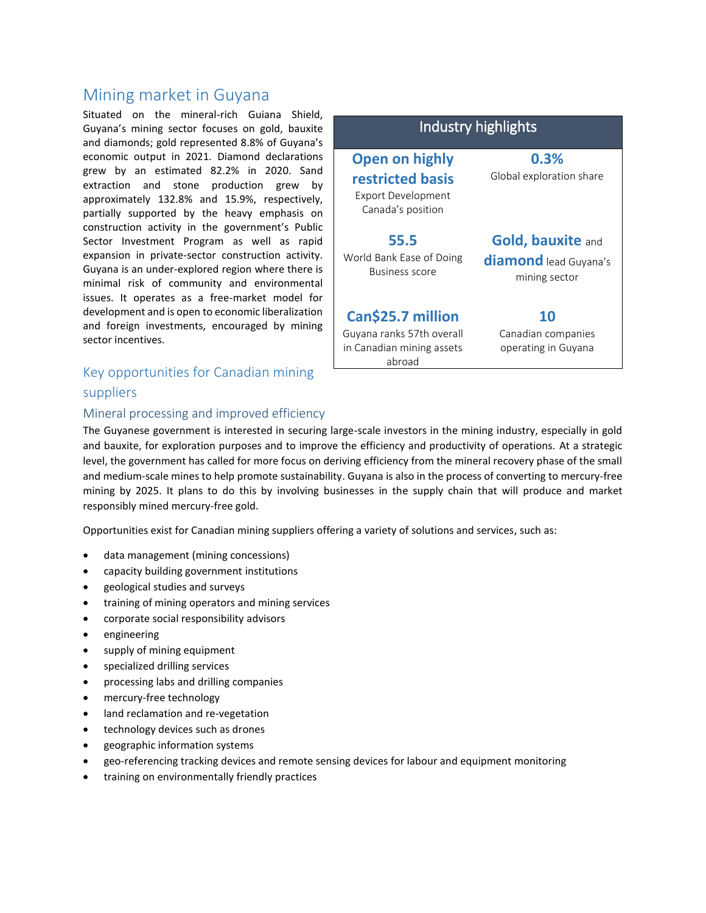# Mining market in Guyana

Situated on the mineral-rich Guiana Shield, Guyana's mining sector focuses on gold, bauxite and diamonds; gold represented 8.8% of Guyana's economic output in 2021. Diamond declarations grew by an estimated 82.2% in 2020. Sand extraction and stone production grew by approximately 132.8% and 15.9%, respectively, partially supported by the heavy emphasis on construction activity in the government's Public Sector Investment Program as well as rapid expansion in private-sector construction activity. Guyana is an under-explored region where there is minimal risk of community and environmental issues. It operates as a free-market model for development and is open to economic liberalization and foreign investments, encouraged by mining sector incentives.

## Key opportunities for Canadian mining suppliers

#### Industry highlights **Open on highly restricted basis** Export Development Canada's position **0.3%** Global exploration share **55.5** World Bank Ease of Doing Business score **Gold, bauxite** and **diamond** lead Guyana's mining sector **Can\$25.7 million** Guyana ranks 57th overall in Canadian mining assets **10** Canadian companies operating in Guyana

#### Mineral processing and improved efficiency

The Guyanese government is interested in securing large-scale investors in the mining industry, especially in gold and bauxite, for exploration purposes and to improve the efficiency and productivity of operations. At a strategic level, the government has called for more focus on deriving efficiency from the mineral recovery phase of the small and medium-scale mines to help promote sustainability. Guyana is also in the process of converting to mercury-free mining by 2025. It plans to do this by involving businesses in the supply chain that will produce and market responsibly mined mercury-free gold.

abroad

Opportunities exist for Canadian mining suppliers offering a variety of solutions and services, such as:

- data management (mining concessions)
- capacity building government institutions
- geological studies and surveys
- training of mining operators and mining services
- corporate social responsibility advisors
- engineering
- supply of mining equipment
- specialized drilling services
- processing labs and drilling companies
- mercury-free technology
- land reclamation and re-vegetation
- technology devices such as drones
- geographic information systems
- geo-referencing tracking devices and remote sensing devices for labour and equipment monitoring
- training on environmentally friendly practices